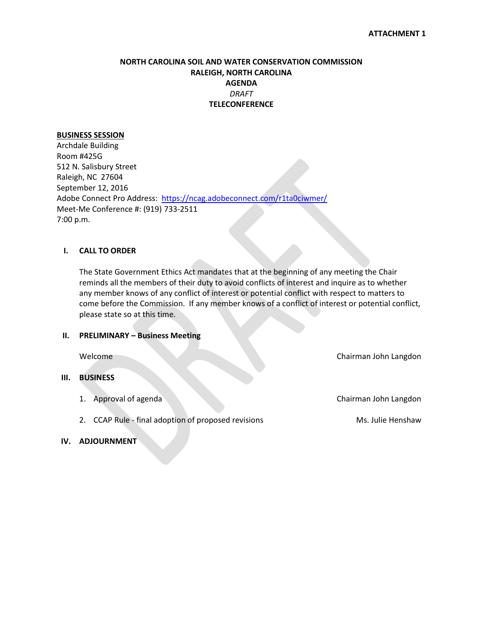## **NORTH CAROLINA SOIL AND WATER CONSERVATION COMMISSION RALEIGH, NORTH CAROLINA AGENDA** *DRAFT* **TELECONFERENCE**

## **BUSINESS SESSION**

Archdale Building Room #425G 512 N. Salisbury Street Raleigh, NC 27604 September 12, 2016 Adobe Connect Pro Address: <https://ncag.adobeconnect.com/r1ta0ciwmer/> Meet-Me Conference #: (919) 733-2511 7:00 p.m.

## **I. CALL TO ORDER**

The State Government Ethics Act mandates that at the beginning of any meeting the Chair reminds all the members of their duty to avoid conflicts of interest and inquire as to whether any member knows of any conflict of interest or potential conflict with respect to matters to come before the Commission. If any member knows of a conflict of interest or potential conflict, please state so at this time.

## **II. PRELIMINARY – Business Meeting**

## **III. BUSINESS**

1. Approval of agenda Chairman John Langdon

Welcome Chairman John Langdon

2. CCAP Rule - final adoption of proposed revisions Ms. Julie Henshaw

## **IV. ADJOURNMENT**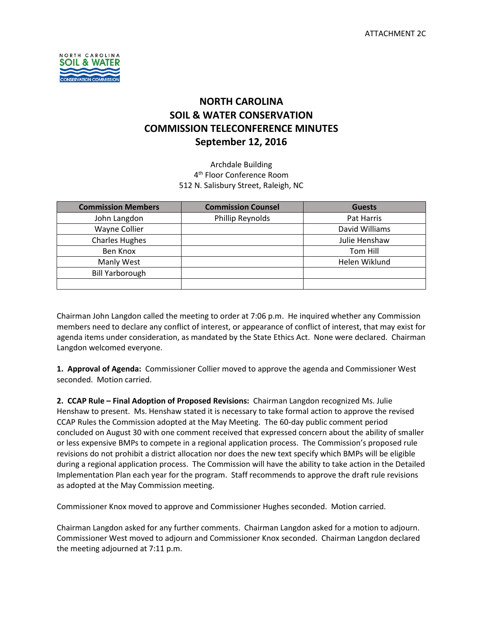

# **NORTH CAROLINA SOIL & WATER CONSERVATION COMMISSION TELECONFERENCE MINUTES September 12, 2016**

Archdale Building 4<sup>th</sup> Floor Conference Room 512 N. Salisbury Street, Raleigh, NC

| <b>Commission Members</b> | <b>Commission Counsel</b> | <b>Guests</b>  |
|---------------------------|---------------------------|----------------|
| John Langdon              | Phillip Reynolds          | Pat Harris     |
| Wayne Collier             |                           | David Williams |
| <b>Charles Hughes</b>     |                           | Julie Henshaw  |
| Ben Knox                  |                           | Tom Hill       |
| Manly West                |                           | Helen Wiklund  |
| <b>Bill Yarborough</b>    |                           |                |
|                           |                           |                |

Chairman John Langdon called the meeting to order at 7:06 p.m. He inquired whether any Commission members need to declare any conflict of interest, or appearance of conflict of interest, that may exist for agenda items under consideration, as mandated by the State Ethics Act. None were declared. Chairman Langdon welcomed everyone.

**1. Approval of Agenda:** Commissioner Collier moved to approve the agenda and Commissioner West seconded. Motion carried.

**2. CCAP Rule – Final Adoption of Proposed Revisions:** Chairman Langdon recognized Ms. Julie Henshaw to present. Ms. Henshaw stated it is necessary to take formal action to approve the revised CCAP Rules the Commission adopted at the May Meeting. The 60-day public comment period concluded on August 30 with one comment received that expressed concern about the ability of smaller or less expensive BMPs to compete in a regional application process. The Commission's proposed rule revisions do not prohibit a district allocation nor does the new text specify which BMPs will be eligible during a regional application process. The Commission will have the ability to take action in the Detailed Implementation Plan each year for the program. Staff recommends to approve the draft rule revisions as adopted at the May Commission meeting.

Commissioner Knox moved to approve and Commissioner Hughes seconded. Motion carried.

Chairman Langdon asked for any further comments. Chairman Langdon asked for a motion to adjourn. Commissioner West moved to adjourn and Commissioner Knox seconded. Chairman Langdon declared the meeting adjourned at 7:11 p.m.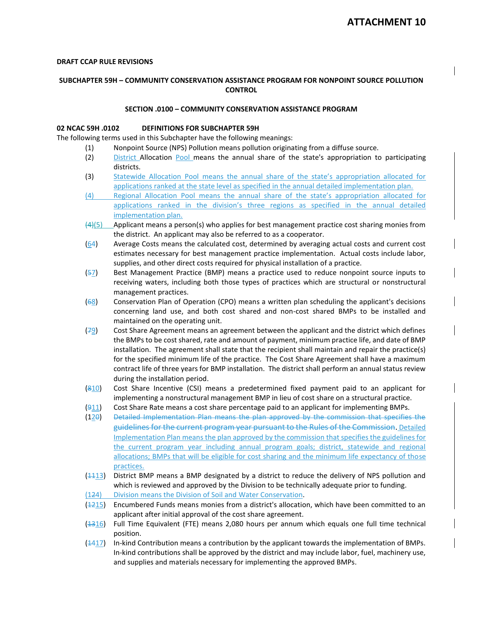#### **DRAFT CCAP RULE REVISIONS**

## **SUBCHAPTER 59H – COMMUNITY CONSERVATION ASSISTANCE PROGRAM FOR NONPOINT SOURCE POLLUTION CONTROL**

#### **SECTION .0100 – COMMUNITY CONSERVATION ASSISTANCE PROGRAM**

#### **02 NCAC 59H .0102 DEFINITIONS FOR SUBCHAPTER 59H**

The following terms used in this Subchapter have the following meanings:

- (1) Nonpoint Source (NPS) Pollution means pollution originating from a diffuse source.
- (2) District Allocation Pool means the annual share of the state's appropriation to participating districts.
- (3) Statewide Allocation Pool means the annual share of the state's appropriation allocated for applications ranked at the state level as specified in the annual detailed implementation plan.
- (4) Regional Allocation Pool means the annual share of the state's appropriation allocated for applications ranked in the division's three regions as specified in the annual detailed implementation plan.
- $(4)(5)$  Applicant means a person(s) who applies for best management practice cost sharing monies from the district. An applicant may also be referred to as a cooperator.
- (64) Average Costs means the calculated cost, determined by averaging actual costs and current cost estimates necessary for best management practice implementation. Actual costs include labor, supplies, and other direct costs required for physical installation of a practice.
- (57) Best Management Practice (BMP) means a practice used to reduce nonpoint source inputs to receiving waters, including both those types of practices which are structural or nonstructural management practices.
- (68) Conservation Plan of Operation (CPO) means a written plan scheduling the applicant's decisions concerning land use, and both cost shared and non-cost shared BMPs to be installed and maintained on the operating unit.
- (79) Cost Share Agreement means an agreement between the applicant and the district which defines the BMPs to be cost shared, rate and amount of payment, minimum practice life, and date of BMP installation. The agreement shall state that the recipient shall maintain and repair the practice(s) for the specified minimum life of the practice. The Cost Share Agreement shall have a maximum contract life of three years for BMP installation. The district shall perform an annual status review during the installation period.
- $(810)$  Cost Share Incentive (CSI) means a predetermined fixed payment paid to an applicant for implementing a nonstructural management BMP in lieu of cost share on a structural practice.
- (911) Cost Share Rate means a cost share percentage paid to an applicant for implementing BMPs.
- (120) Detailed Implementation Plan means the plan approved by the commission that specifies the guidelines for the current program year pursuant to the Rules of the Commission. Detailed Implementation Plan means the plan approved by the commission that specifies the guidelines for the current program year including annual program goals; district, statewide and regional allocations; BMPs that will be eligible for cost sharing and the minimum life expectancy of those practices.
- $(1113)$  District BMP means a BMP designated by a district to reduce the delivery of NPS pollution and which is reviewed and approved by the Division to be technically adequate prior to funding.
- (124) Division means the Division of Soil and Water Conservation.
- (1215) Encumbered Funds means monies from a district's allocation, which have been committed to an applicant after initial approval of the cost share agreement.
- (1316) Full Time Equivalent (FTE) means 2,080 hours per annum which equals one full time technical position.
- $(1417)$  In-kind Contribution means a contribution by the applicant towards the implementation of BMPs. In-kind contributions shall be approved by the district and may include labor, fuel, machinery use, and supplies and materials necessary for implementing the approved BMPs.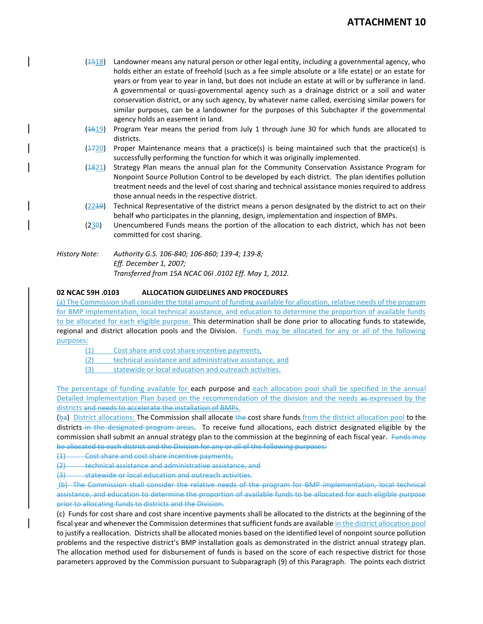## **ATTACHMENT 10**

- $(1518)$  Landowner means any natural person or other legal entity, including a governmental agency, who holds either an estate of freehold (such as a fee simple absolute or a life estate) or an estate for years or from year to year in land, but does not include an estate at will or by sufferance in land. A governmental or quasi-governmental agency such as a drainage district or a soil and water conservation district, or any such agency, by whatever name called, exercising similar powers for similar purposes, can be a landowner for the purposes of this Subchapter if the governmental agency holds an easement in land.
- (1619) Program Year means the period from July 1 through June 30 for which funds are allocated to districts.
- $(1720)$  Proper Maintenance means that a practice(s) is being maintained such that the practice(s) is successfully performing the function for which it was originally implemented.
- (1821) Strategy Plan means the annual plan for the Community Conservation Assistance Program for Nonpoint Source Pollution Control to be developed by each district. The plan identifies pollution treatment needs and the level of cost sharing and technical assistance monies required to address those annual needs in the respective district.
- (2219) Technical Representative of the district means a person designated by the district to act on their behalf who participates in the planning, design, implementation and inspection of BMPs.
- $(230)$  Unencumbered Funds means the portion of the allocation to each district, which has not been committed for cost sharing.
- *History Note: Authority G.S. 106-840; 106-860; 139-4; 139-8; Eff. December 1, 2007; Transferred from 15A NCAC 06I .0102 Eff. May 1, 2012.*

#### **02 NCAC 59H .0103 ALLOCATION GUIDELINES AND PROCEDURES**

(a) The Commission shall consider the total amount of funding available for allocation, relative needs of the program for BMP implementation, local technical assistance, and education to determine the proportion of available funds to be allocated for each eligible purpose. This determination shall be done prior to allocating funds to statewide, regional and district allocation pools and the Division. Funds may be allocated for any or all of the following purposes:

- (1) Cost share and cost share incentive payments,
- (2) technical assistance and administrative assistance, and
- (3) statewide or local education and outreach activities.

The percentage of funding available for each purpose and each allocation pool shall be specified in the annual Detailed Implementation Plan based on the recommendation of the division and the needs as expressed by the districts and needs to accelerate the installation of BMPs.

(ba) District allocations: The Commission shall allocate the cost share funds from the district allocation pool to the districts in the designated program areas. To receive fund allocations, each district designated eligible by the commission shall submit an annual strategy plan to the commission at the beginning of each fiscal year. Funds may be allocated to each district and the Division for any or all of the following purposes:

- (1) Cost share and cost share incentive payments,
- (2) technical assistance and administrative assistance, and
- (3) statewide or local education and outreach activities.

 (b) The Commission shall consider the relative needs of the program for BMP implementation, local technical assistance, and education to determine the proportion of available funds to be allocated for each eligible purpose prior to allocating funds to districts and the Division.

(c) Funds for cost share and cost share incentive payments shall be allocated to the districts at the beginning of the fiscal year and whenever the Commission determines that sufficient funds are available in the district allocation pool to justify a reallocation. Districts shall be allocated monies based on the identified level of nonpoint source pollution problems and the respective district's BMP installation goals as demonstrated in the district annual strategy plan. The allocation method used for disbursement of funds is based on the score of each respective district for those parameters approved by the Commission pursuant to Subparagraph (9) of this Paragraph. The points each district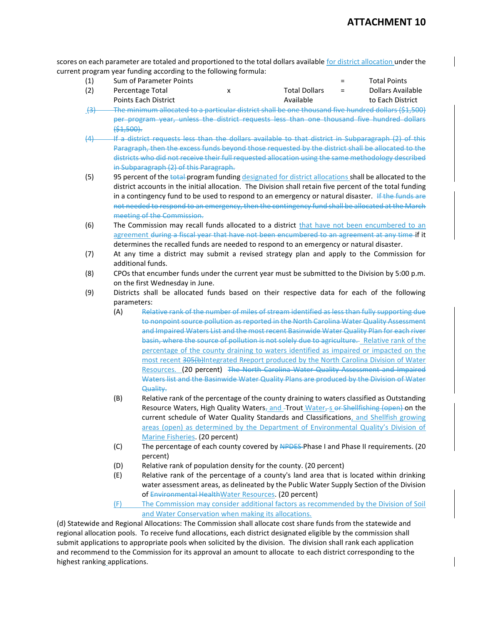scores on each parameter are totaled and proportioned to the total dollars available for district allocation under the current program year funding according to the following formula:

- (1) Sum of Parameter Points = Total Points (2) Percentage Total x Total Dollars = Dollars Available
- Points Each District **Available Available** to Each District (3) The minimum allocated to a particular district shall be one thousand five hundred dollars (\$1,500)
- per program year, unless the district requests less than one thousand five hundred dollars  $( $1,500).$
- (4) If a district requests less than the dollars available to that district in Subparagraph (2) of this Paragraph, then the excess funds beyond those requested by the district shall be allocated to the districts who did not receive their full requested allocation using the same methodology described in Subparagraph (2) of this Paragraph.
- (5) 95 percent of the total program funding designated for district allocations shall be allocated to the district accounts in the initial allocation. The Division shall retain five percent of the total funding in a contingency fund to be used to respond to an emergency or natural disaster. If the funds are not needed to respond to an emergency, then the contingency fund shall be allocated at the March meeting of the Commission.
- (6) The Commission may recall funds allocated to a district that have not been encumbered to an agreement during a fiscal year that have not been encumbered to an agreement at any time if it determines the recalled funds are needed to respond to an emergency or natural disaster.
- (7) At any time a district may submit a revised strategy plan and apply to the Commission for additional funds.
- (8) CPOs that encumber funds under the current year must be submitted to the Division by 5:00 p.m. on the first Wednesday in June.
- (9) Districts shall be allocated funds based on their respective data for each of the following parameters:
	- (A) Relative rank of the number of miles of stream identified as less than fully supporting due to nonpoint source pollution as reported in the North Carolina Water Quality Assessment and Impaired Waters List and the most recent Basinwide Water Quality Plan for each river basin, where the source of pollution is not solely due to agriculture. Relative rank of the percentage of the county draining to waters identified as impaired or impacted on the most recent 305(b)Integrated Rreport produced by the North Carolina Division of Water Resources. (20 percent) The North Carolina Water Quality Assessment and Impaired Waters list and the Basinwide Water Quality Plans are produced by the Division of Water Quality.
	- (B) Relative rank of the percentage of the county draining to waters classified as Outstanding Resource Waters, High Quality Waters, and -Trout Water,  $\frac{1}{2}$  of Shellfishing (open) on the current schedule of Water Quality Standards and Classifications, and Shellfish growing areas (open) as determined by the Department of Environmental Quality's Division of Marine Fisheries. (20 percent)
	- (C) The percentage of each county covered by NPDES-Phase I and Phase II requirements. (20 percent)
	- (D) Relative rank of population density for the county. (20 percent)
	- (E) Relative rank of the percentage of a county's land area that is located within drinking water assessment areas, as delineated by the Public Water Supply Section of the Division of Environmental HealthWater Resources. (20 percent)
	- (F) The Commission may consider additional factors as recommended by the Division of Soil and Water Conservation when making its allocations.

(d) Statewide and Regional Allocations: The Commission shall allocate cost share funds from the statewide and regional allocation pools. To receive fund allocations, each district designated eligible by the commission shall submit applications to appropriate pools when solicited by the division. The division shall rank each application and recommend to the Commission for its approval an amount to allocate to each district corresponding to the highest ranking applications.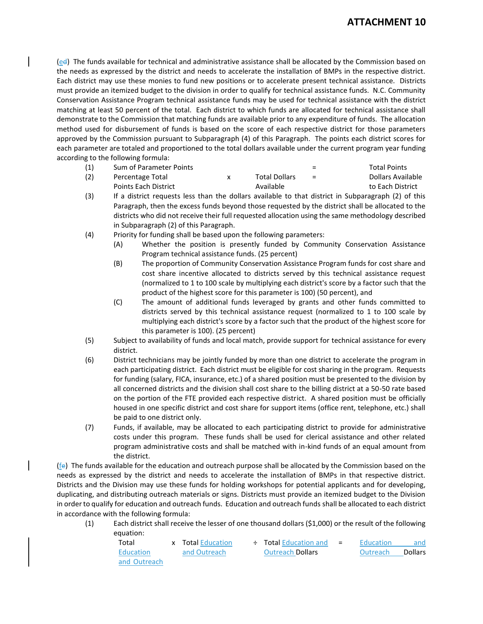(ed) The funds available for technical and administrative assistance shall be allocated by the Commission based on the needs as expressed by the district and needs to accelerate the installation of BMPs in the respective district. Each district may use these monies to fund new positions or to accelerate present technical assistance. Districts must provide an itemized budget to the division in order to qualify for technical assistance funds. N.C. Community Conservation Assistance Program technical assistance funds may be used for technical assistance with the district matching at least 50 percent of the total. Each district to which funds are allocated for technical assistance shall demonstrate to the Commission that matching funds are available prior to any expenditure of funds. The allocation method used for disbursement of funds is based on the score of each respective district for those parameters approved by the Commission pursuant to Subparagraph (4) of this Paragraph. The points each district scores for each parameter are totaled and proportioned to the total dollars available under the current program year funding according to the following formula:

| (1) | Sum of Parameter Points |               | $\equiv$ | <b>Total Points</b> |
|-----|-------------------------|---------------|----------|---------------------|
| (2) | Percentage Total        | Total Dollars | $=$      | Dollars Available   |
|     | Points Each District    | Available     |          | to Each District    |

- (3) If a district requests less than the dollars available to that district in Subparagraph (2) of this Paragraph, then the excess funds beyond those requested by the district shall be allocated to the districts who did not receive their full requested allocation using the same methodology described in Subparagraph (2) of this Paragraph.
- (4) Priority for funding shall be based upon the following parameters:
	- (A) Whether the position is presently funded by Community Conservation Assistance Program technical assistance funds. (25 percent)
	- (B) The proportion of Community Conservation Assistance Program funds for cost share and cost share incentive allocated to districts served by this technical assistance request (normalized to 1 to 100 scale by multiplying each district's score by a factor such that the product of the highest score for this parameter is 100) (50 percent), and
	- (C) The amount of additional funds leveraged by grants and other funds committed to districts served by this technical assistance request (normalized to 1 to 100 scale by multiplying each district's score by a factor such that the product of the highest score for this parameter is 100). (25 percent)
- (5) Subject to availability of funds and local match, provide support for technical assistance for every district.
- (6) District technicians may be jointly funded by more than one district to accelerate the program in each participating district. Each district must be eligible for cost sharing in the program. Requests for funding (salary, FICA, insurance, etc.) of a shared position must be presented to the division by all concerned districts and the division shall cost share to the billing district at a 50-50 rate based on the portion of the FTE provided each respective district. A shared position must be officially housed in one specific district and cost share for support items (office rent, telephone, etc.) shall be paid to one district only.
- (7) Funds, if available, may be allocated to each participating district to provide for administrative costs under this program. These funds shall be used for clerical assistance and other related program administrative costs and shall be matched with in-kind funds of an equal amount from the district.

 $(fe)$  The funds available for the education and outreach purpose shall be allocated by the Commission based on the needs as expressed by the district and needs to accelerate the installation of BMPs in that respective district. Districts and the Division may use these funds for holding workshops for potential applicants and for developing, duplicating, and distributing outreach materials or signs. Districts must provide an itemized budget to the Division in order to qualify for education and outreach funds. Education and outreach funds shall be allocated to each district in accordance with the following formula:

(1) Each district shall receive the lesser of one thousand dollars (\$1,000) or the result of the following equation:

| Total        | <b>x</b> Total Education | $\div$ Total Education and $=$ | Education | and     |
|--------------|--------------------------|--------------------------------|-----------|---------|
| Education    | and Outreach             | <b>Outreach Dollars</b>        | Outreach  | Dollars |
| and Outreach |                          |                                |           |         |